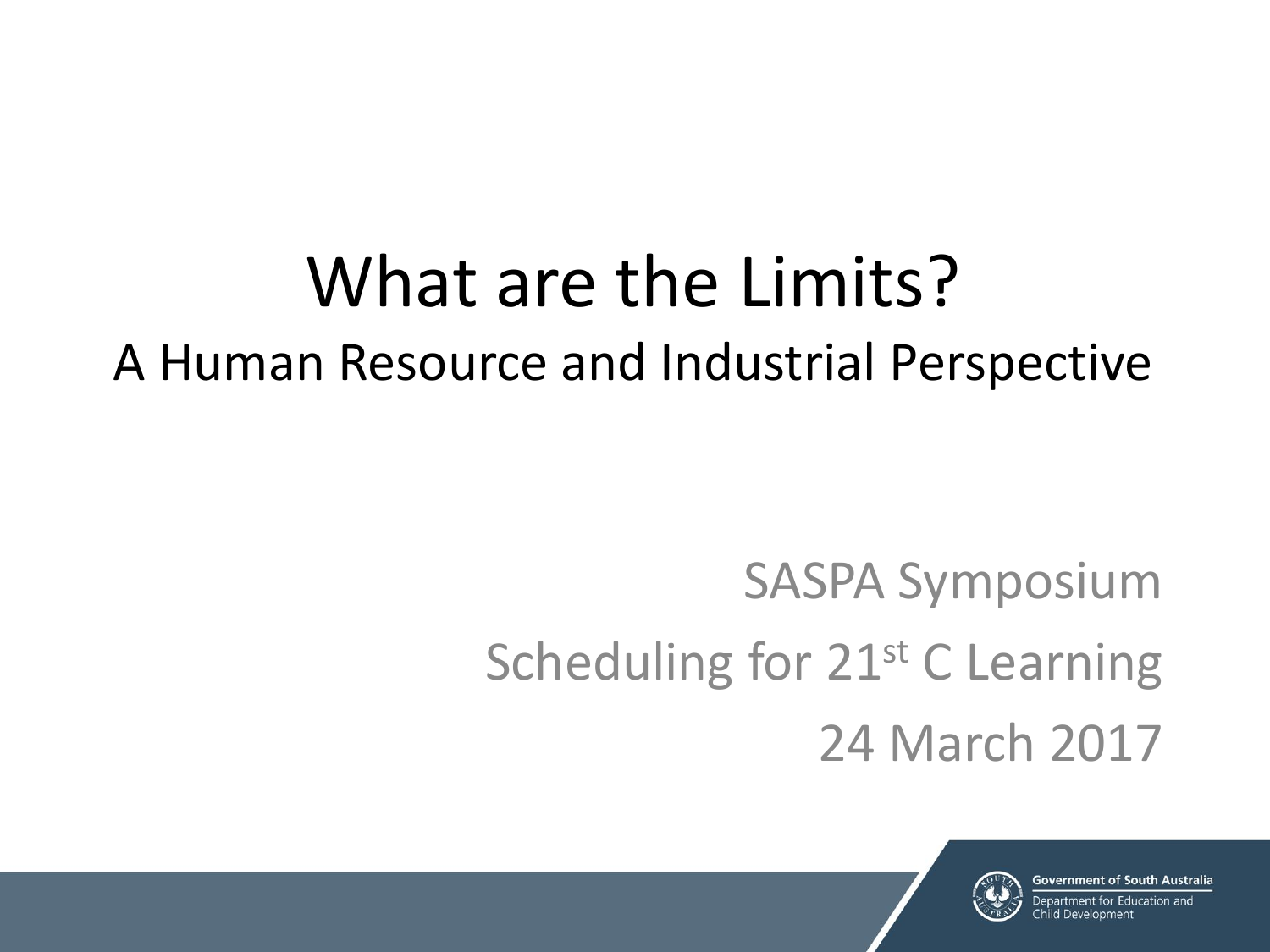# What are the Limits? A Human Resource and Industrial Perspective

# SASPA Symposium Scheduling for 21<sup>st</sup> C Learning 24 March 2017

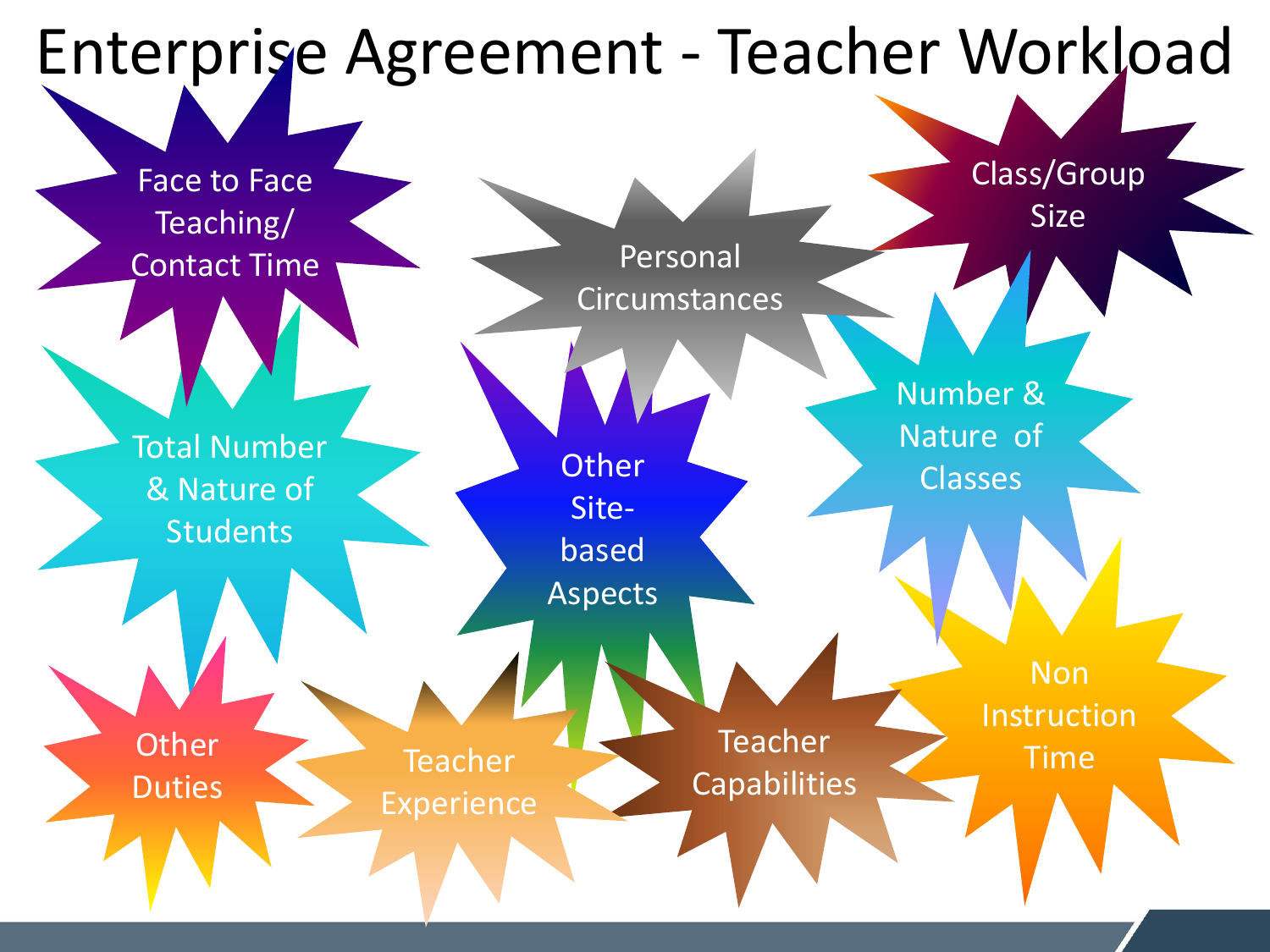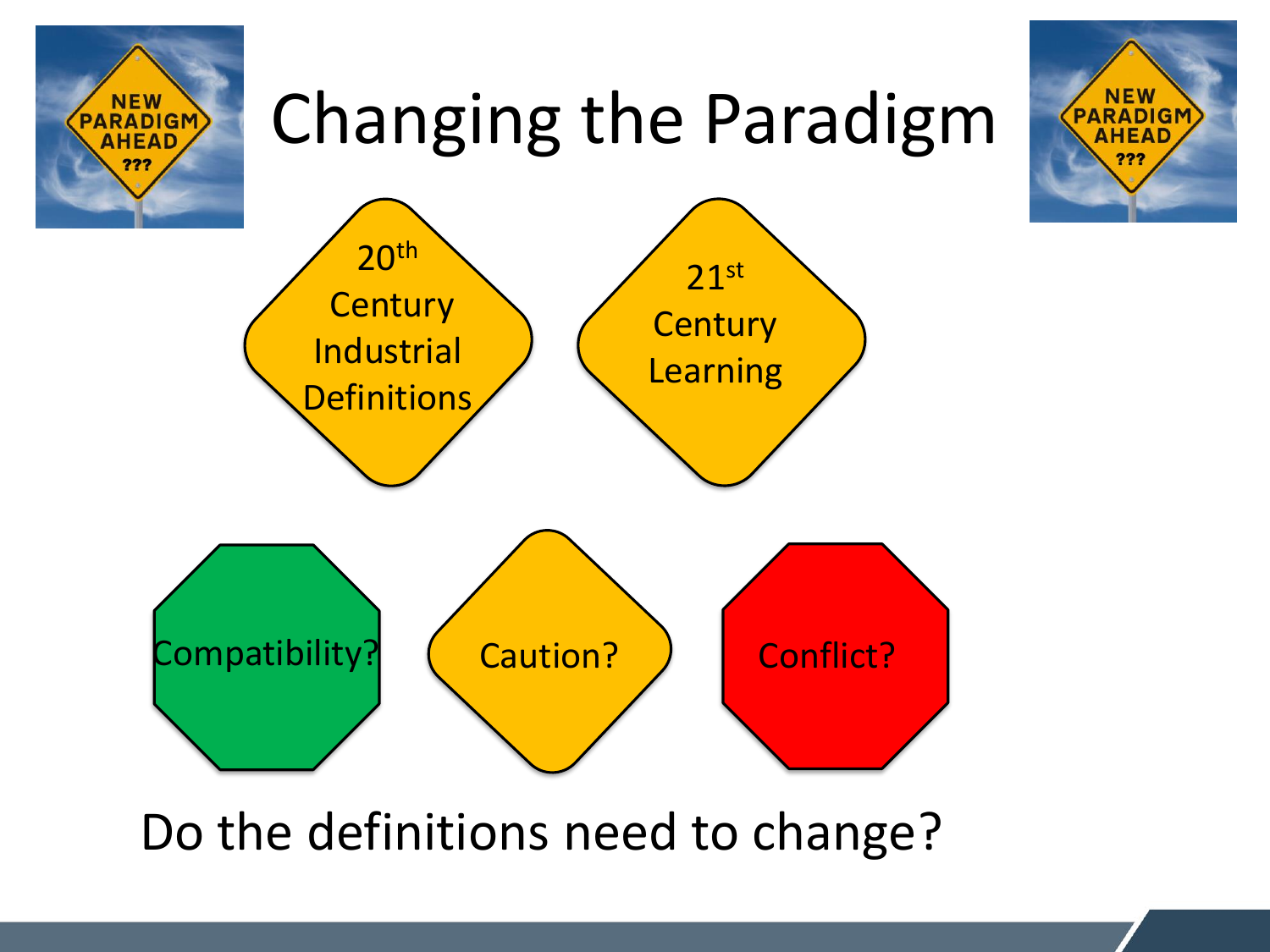

Do the definitions need to change?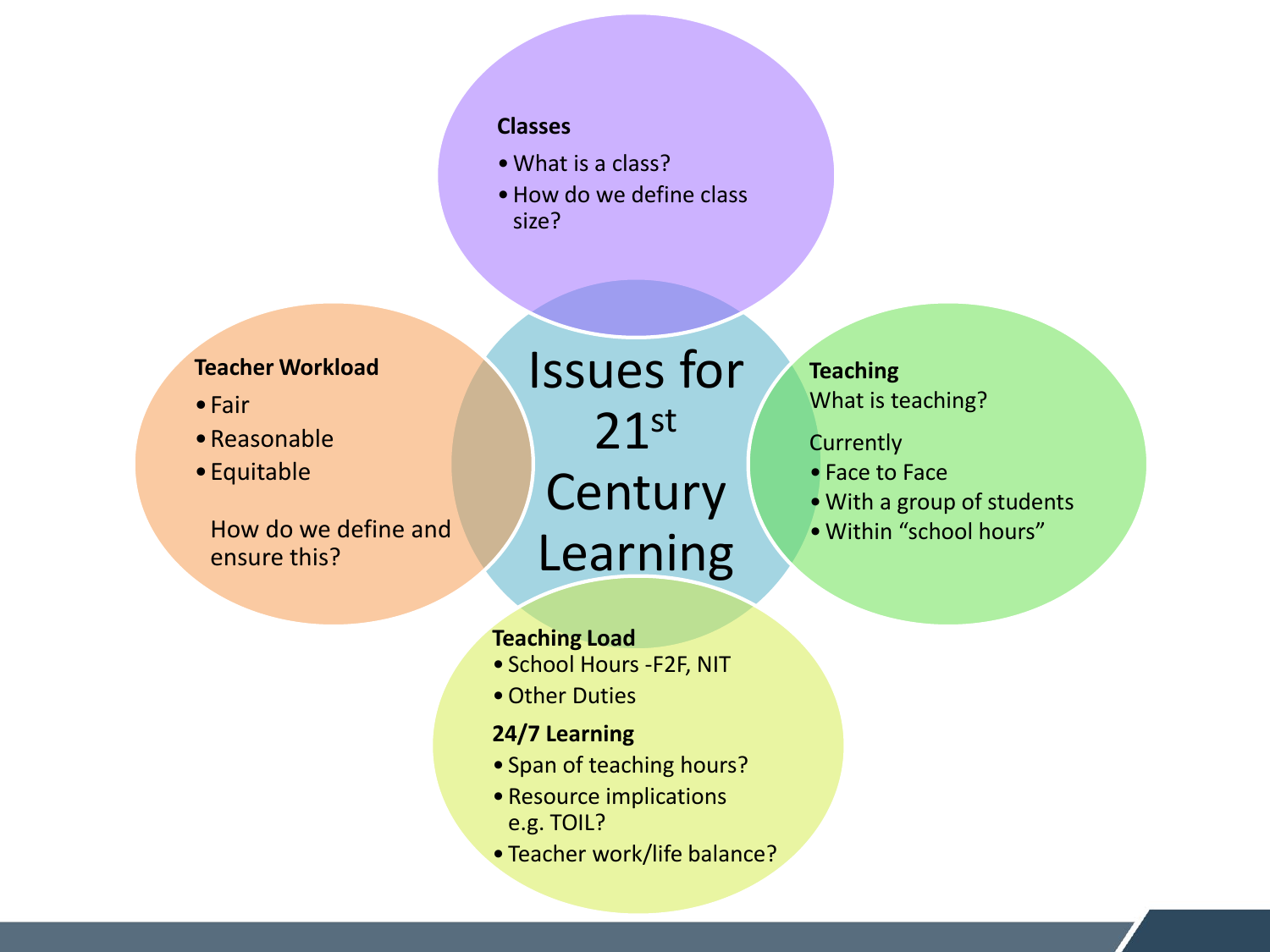#### **Classes**

- •What is a class?
- How do we define class size?

### **Teacher Workload**

- •Fair
- •Reasonable
- •Equitable

How do we define and ensure this?

Issues for 21st **Century** Learning

**Teaching**  What is teaching?

- **Currently**
- Face to Face
- •With a group of students
- •Within "school hours"

### **Teaching Load**

- School Hours -F2F, NIT
- •Other Duties
- **24/7 Learning**
- Span of teaching hours?
- Resource implications e.g. TOIL?
- Teacher work/life balance?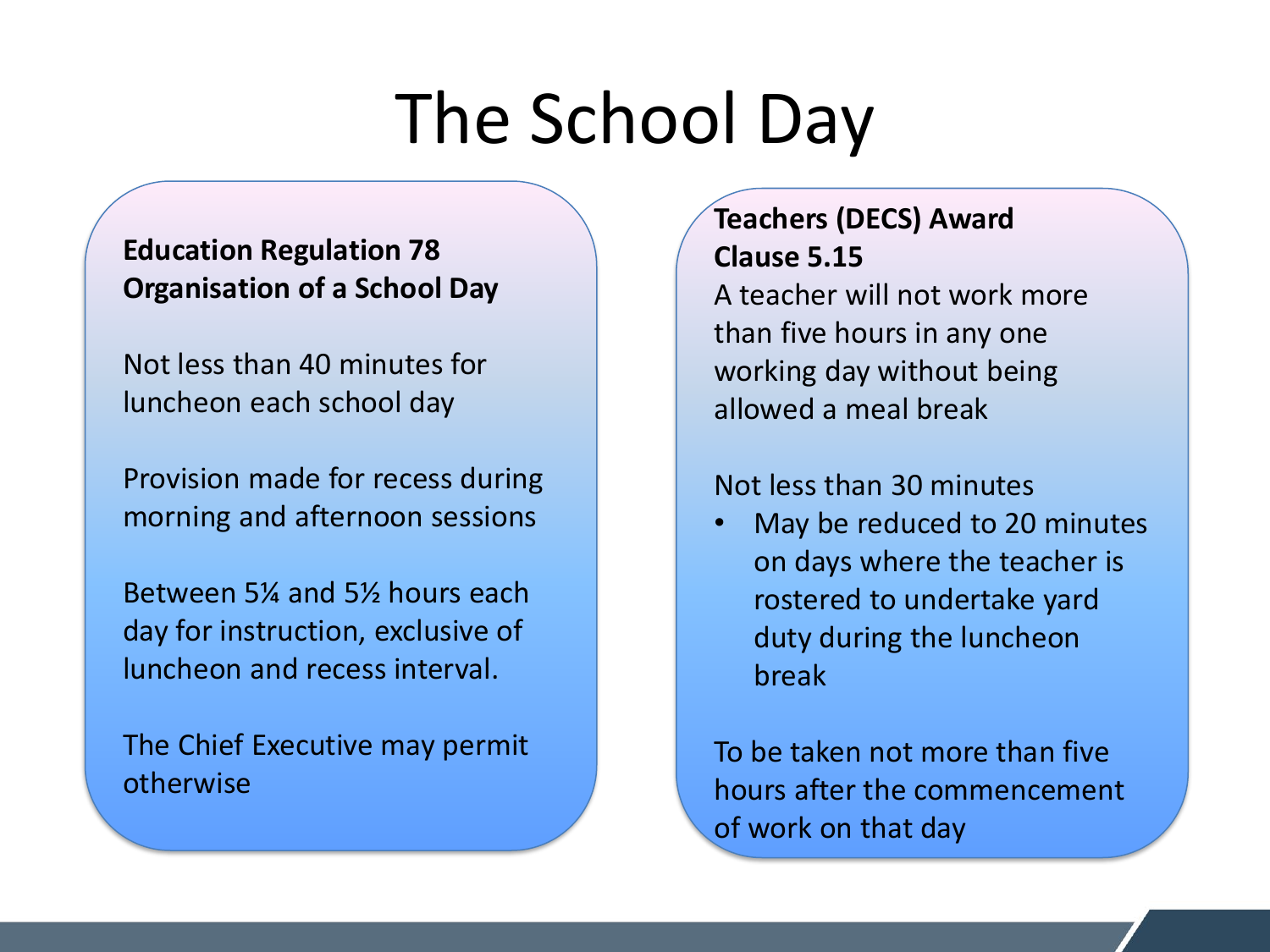# The School Day

## **Education Regulation 78 Organisation of a School Day**

Not less than 40 minutes for luncheon each school day

Provision made for recess during morning and afternoon sessions

Between 5¼ and 5½ hours each day for instruction, exclusive of luncheon and recess interval.

The Chief Executive may permit otherwise

## **Teachers (DECS) Award Clause 5.15**

A teacher will not work more than five hours in any one working day without being allowed a meal break

### Not less than 30 minutes

• May be reduced to 20 minutes on days where the teacher is rostered to undertake yard duty during the luncheon break

To be taken not more than five hours after the commencement of work on that day